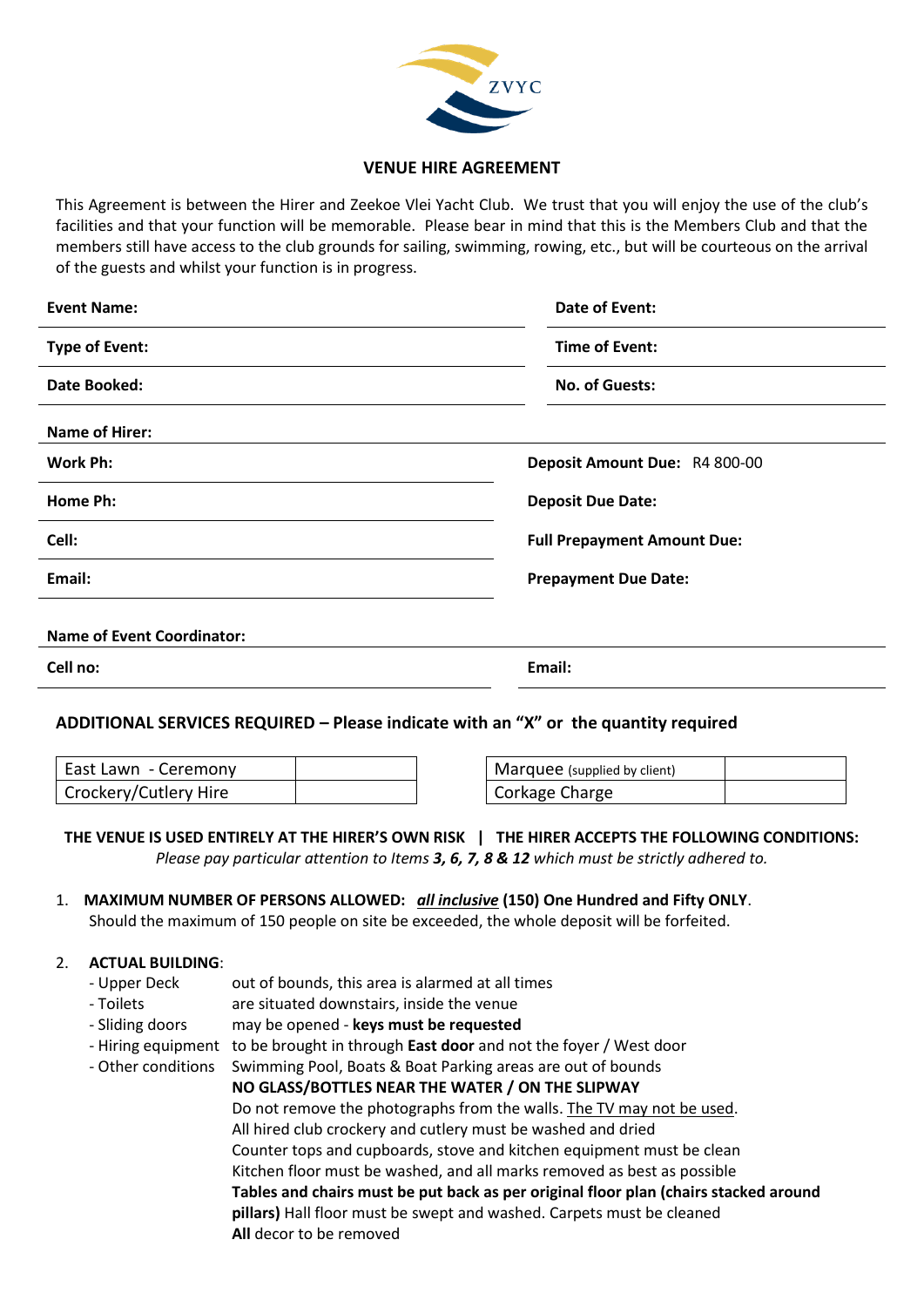

#### **VENUE HIRE AGREEMENT**

This Agreement is between the Hirer and Zeekoe Vlei Yacht Club. We trust that you will enjoy the use of the club's facilities and that your function will be memorable. Please bear in mind that this is the Members Club and that the members still have access to the club grounds for sailing, swimming, rowing, etc., but will be courteous on the arrival of the guests and whilst your function is in progress.

| <b>Event Name:</b>                | Date of Event:                     |
|-----------------------------------|------------------------------------|
| <b>Type of Event:</b>             | Time of Event:                     |
| Date Booked:                      | <b>No. of Guests:</b>              |
| <b>Name of Hirer:</b>             |                                    |
| Work Ph:                          | Deposit Amount Due: R4 800-00      |
| Home Ph:                          | <b>Deposit Due Date:</b>           |
| Cell:                             | <b>Full Prepayment Amount Due:</b> |
| Email:                            | <b>Prepayment Due Date:</b>        |
| <b>Name of Event Coordinator:</b> |                                    |
| Cell no:                          | Email:                             |

# **ADDITIONAL SERVICES REQUIRED – Please indicate with an "X" or the quantity required**

| East Lawn - Ceremony  |  |
|-----------------------|--|
| Crockery/Cutlery Hire |  |

Marquee (supplied by client) Corkage Charge

# **THE VENUE IS USED ENTIRELY AT THE HIRER'S OWN RISK | THE HIRER ACCEPTS THE FOLLOWING CONDITIONS:**

*Please pay particular attention to Items 3, 6, 7, 8 & 12 which must be strictly adhered to.*

# 1. **MAXIMUM NUMBER OF PERSONS ALLOWED:** *all inclusive* **(150) One Hundred and Fifty ONLY**.

Should the maximum of 150 people on site be exceeded, the whole deposit will be forfeited.

#### 2. **ACTUAL BUILDING**:

- Upper Deck out of bounds, this area is alarmed at all times
- Toilets are situated downstairs, inside the venue
- Sliding doors may be opened **keys must be requested**
- Hiring equipment to be brought in through **East door** and not the foyer / West door
- Other conditions Swimming Pool, Boats & Boat Parking areas are out of bounds
	- **NO GLASS/BOTTLES NEAR THE WATER / ON THE SLIPWAY** Do not remove the photographs from the walls. The TV may not be used. All hired club crockery and cutlery must be washed and dried Counter tops and cupboards, stove and kitchen equipment must be clean Kitchen floor must be washed, and all marks removed as best as possible **Tables and chairs must be put back as per original floor plan (chairs stacked around pillars)** Hall floor must be swept and washed. Carpets must be cleaned **All** decor to be removed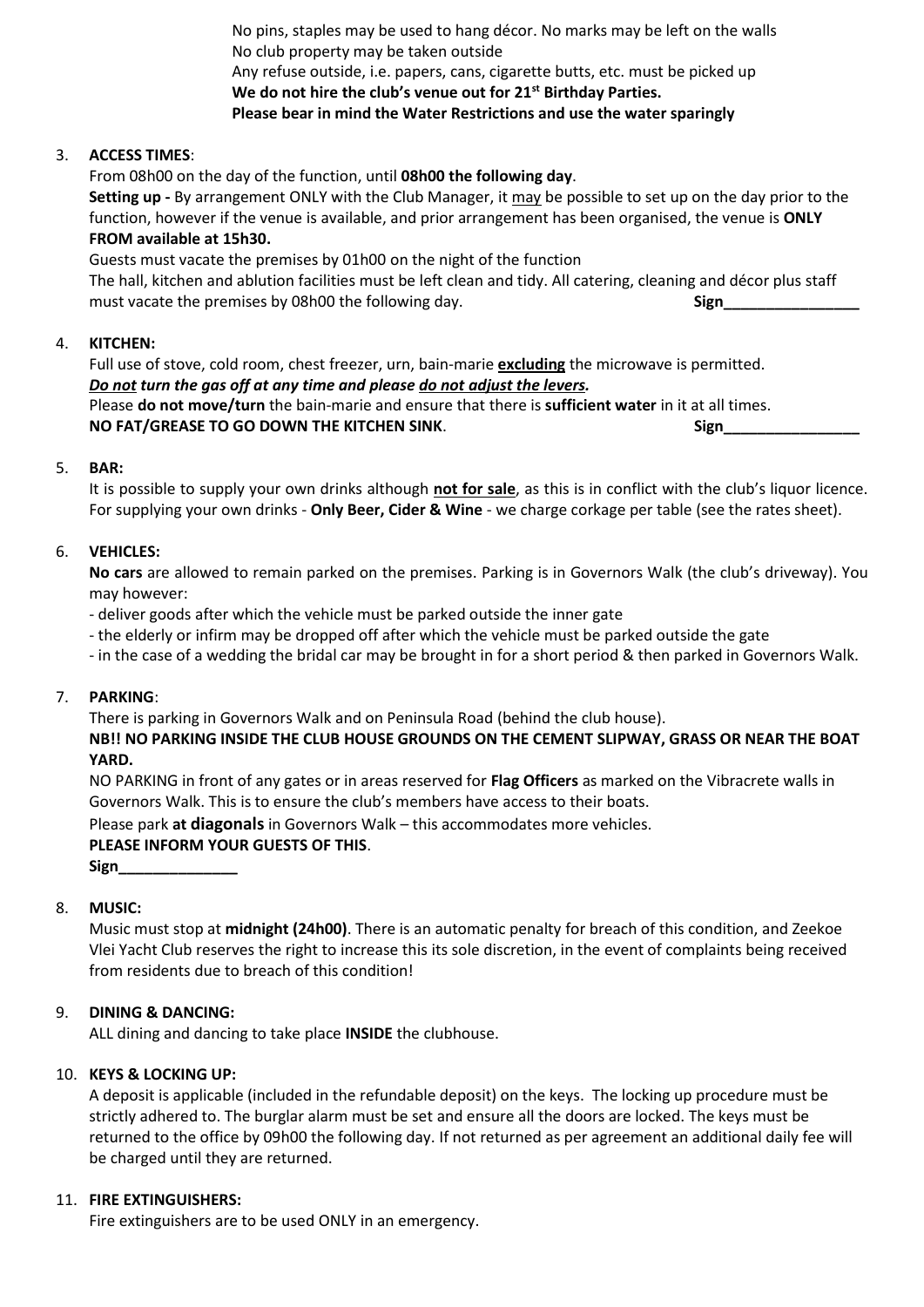No pins, staples may be used to hang décor. No marks may be left on the walls No club property may be taken outside Any refuse outside, i.e. papers, cans, cigarette butts, etc. must be picked up **We do not hire the club's venue out for 21st Birthday Parties. Please bear in mind the Water Restrictions and use the water sparingly**

# 3. **ACCESS TIMES**:

From 08h00 on the day of the function, until **08h00 the following day**.

**Setting up -** By arrangement ONLY with the Club Manager, it may be possible to set up on the day prior to the function, however if the venue is available, and prior arrangement has been organised, the venue is **ONLY FROM available at 15h30.**

Guests must vacate the premises by 01h00 on the night of the function

The hall, kitchen and ablution facilities must be left clean and tidy. All catering, cleaning and décor plus staff must vacate the premises by 08h00 the following day. **Sign\_\_\_\_\_\_\_\_\_\_\_\_\_\_\_\_\_\_\_\_\_\_** 

# 4. **KITCHEN:**

Full use of stove, cold room, chest freezer, urn, bain-marie **excluding** the microwave is permitted. *Do not turn the gas off at any time and please do not adjust the levers.* Please **do not move/turn** the bain-marie and ensure that there is **sufficient water** in it at all times. **NO FAT/GREASE TO GO DOWN THE KITCHEN SINK. Sign\_\_\_\_\_\_\_\_\_\_\_\_\_\_\_\_\_\_\_\_\_\_\_\_\_\_\_\_\_\_\_** Sign\_

# 5. **BAR:**

It is possible to supply your own drinks although **not for sale**, as this is in conflict with the club's liquor licence. For supplying your own drinks - **Only Beer, Cider & Wine** - we charge corkage per table (see the rates sheet).

# 6. **VEHICLES:**

**No cars** are allowed to remain parked on the premises. Parking is in Governors Walk (the club's driveway). You may however:

- deliver goods after which the vehicle must be parked outside the inner gate
- the elderly or infirm may be dropped off after which the vehicle must be parked outside the gate
- in the case of a wedding the bridal car may be brought in for a short period & then parked in Governors Walk.

#### 7. **PARKING**:

There is parking in Governors Walk and on Peninsula Road (behind the club house).

**NB!! NO PARKING INSIDE THE CLUB HOUSE GROUNDS ON THE CEMENT SLIPWAY, GRASS OR NEAR THE BOAT YARD.**

NO PARKING in front of any gates or in areas reserved for **Flag Officers** as marked on the Vibracrete walls in Governors Walk. This is to ensure the club's members have access to their boats.

Please park **at diagonals** in Governors Walk – this accommodates more vehicles.

#### **PLEASE INFORM YOUR GUESTS OF THIS**.

**Sign\_\_\_\_\_\_\_\_\_\_\_\_\_\_**

# 8. **MUSIC:**

Music must stop at **midnight (24h00)**. There is an automatic penalty for breach of this condition, and Zeekoe Vlei Yacht Club reserves the right to increase this its sole discretion, in the event of complaints being received from residents due to breach of this condition!

# 9. **DINING & DANCING:**

ALL dining and dancing to take place **INSIDE** the clubhouse.

#### 10. **KEYS & LOCKING UP:**

A deposit is applicable (included in the refundable deposit) on the keys. The locking up procedure must be strictly adhered to. The burglar alarm must be set and ensure all the doors are locked. The keys must be returned to the office by 09h00 the following day. If not returned as per agreement an additional daily fee will be charged until they are returned.

#### 11. **FIRE EXTINGUISHERS:**

Fire extinguishers are to be used ONLY in an emergency.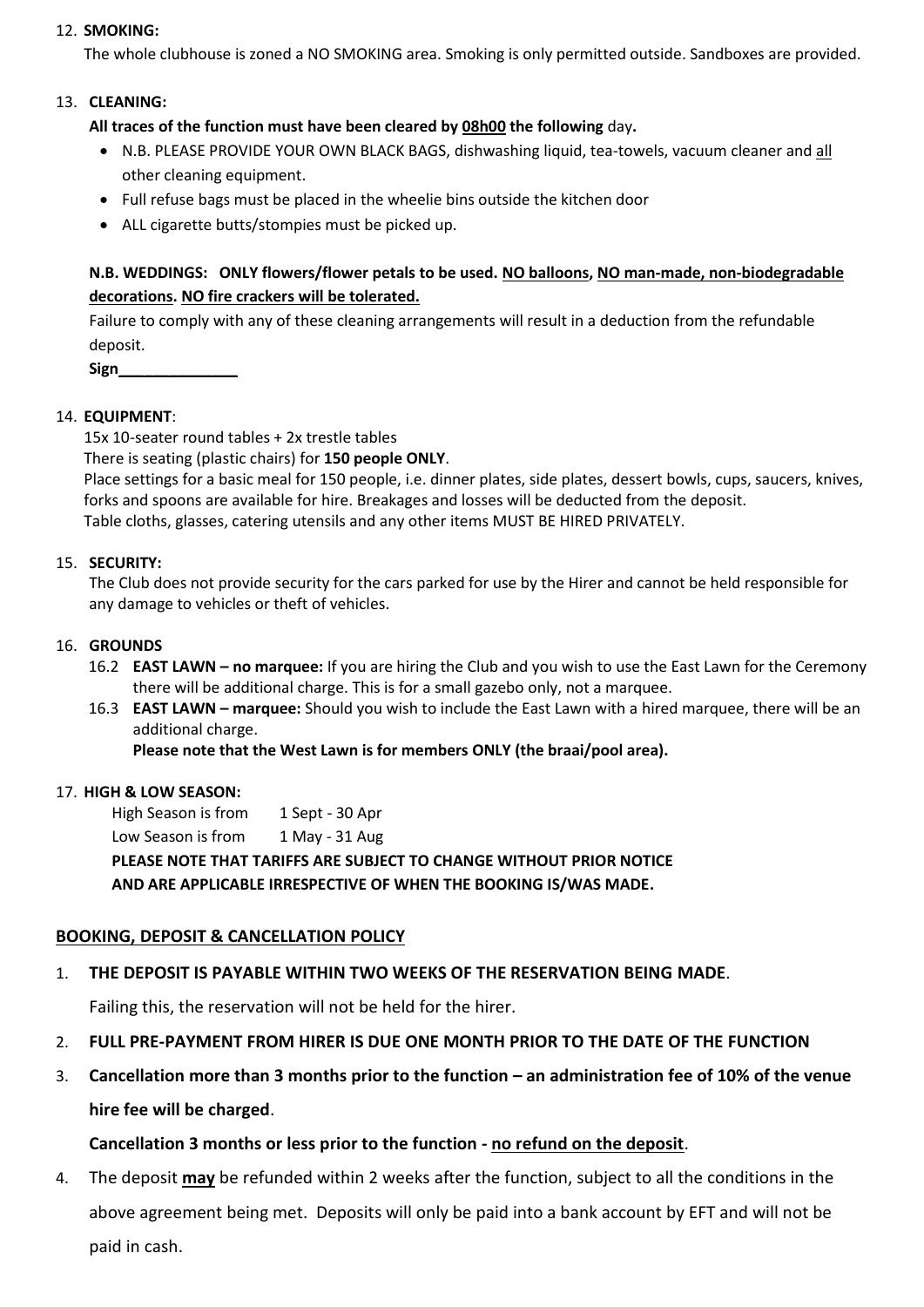# 12. **SMOKING:**

The whole clubhouse is zoned a NO SMOKING area. Smoking is only permitted outside. Sandboxes are provided.

# 13. **CLEANING:**

**All traces of the function must have been cleared by 08h00 the following** day**.** 

- N.B. PLEASE PROVIDE YOUR OWN BLACK BAGS, dishwashing liquid, tea-towels, vacuum cleaner and all other cleaning equipment.
- Full refuse bags must be placed in the wheelie bins outside the kitchen door
- ALL cigarette butts/stompies must be picked up.

# **N.B. WEDDINGS: ONLY flowers/flower petals to be used. NO balloons, NO man-made, non-biodegradable decorations. NO fire crackers will be tolerated.**

Failure to comply with any of these cleaning arrangements will result in a deduction from the refundable deposit.

**Sign\_\_\_\_\_\_\_\_\_\_\_\_\_\_**

# 14. **EQUIPMENT**:

15x 10-seater round tables + 2x trestle tables

There is seating (plastic chairs) for **150 people ONLY**.

Place settings for a basic meal for 150 people, i.e. dinner plates, side plates, dessert bowls, cups, saucers, knives, forks and spoons are available for hire. Breakages and losses will be deducted from the deposit. Table cloths, glasses, catering utensils and any other items MUST BE HIRED PRIVATELY.

# 15. **SECURITY:**

The Club does not provide security for the cars parked for use by the Hirer and cannot be held responsible for any damage to vehicles or theft of vehicles.

#### 16. **GROUNDS**

- 16.2 **EAST LAWN – no marquee:** If you are hiring the Club and you wish to use the East Lawn for the Ceremony there will be additional charge. This is for a small gazebo only, not a marquee.
- 16.3 **EAST LAWN – marquee:** Should you wish to include the East Lawn with a hired marquee, there will be an additional charge.

**Please note that the West Lawn is for members ONLY (the braai/pool area).**

#### 17. **HIGH & LOW SEASON:**

High Season is from 1 Sept - 30 Apr Low Season is from 1 May - 31 Aug **PLEASE NOTE THAT TARIFFS ARE SUBJECT TO CHANGE WITHOUT PRIOR NOTICE AND ARE APPLICABLE IRRESPECTIVE OF WHEN THE BOOKING IS/WAS MADE.**

# **BOOKING, DEPOSIT & CANCELLATION POLICY**

# 1. **THE DEPOSIT IS PAYABLE WITHIN TWO WEEKS OF THE RESERVATION BEING MADE**.

Failing this, the reservation will not be held for the hirer.

- 2. **FULL PRE-PAYMENT FROM HIRER IS DUE ONE MONTH PRIOR TO THE DATE OF THE FUNCTION**
- 3. **Cancellation more than 3 months prior to the function – an administration fee of 10% of the venue hire fee will be charged**.

# **Cancellation 3 months or less prior to the function - no refund on the deposit**.

4. The deposit **may** be refunded within 2 weeks after the function, subject to all the conditions in the above agreement being met. Deposits will only be paid into a bank account by EFT and will not be paid in cash.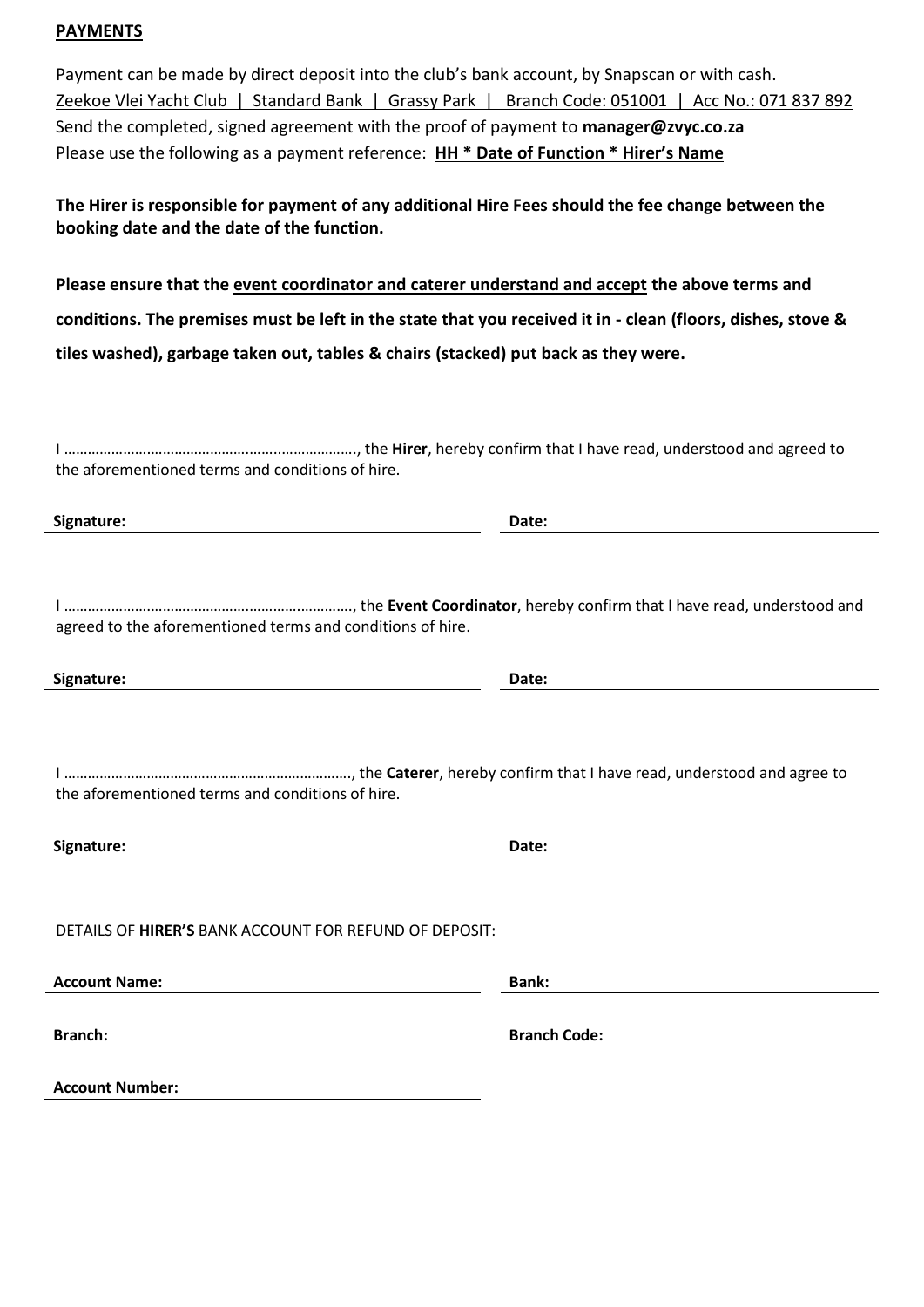# **PAYMENTS**

Payment can be made by direct deposit into the club's bank account, by Snapscan or with cash. Zeekoe Vlei Yacht Club | Standard Bank | Grassy Park | Branch Code: 051001 | Acc No.: 071 837 892 Send the completed, signed agreement with the proof of payment to **manager@zvyc.co.za**  Please use the following as a payment reference: **HH \* Date of Function \* Hirer's Name**

**The Hirer is responsible for payment of any additional Hire Fees should the fee change between the booking date and the date of the function.**

**Please ensure that the event coordinator and caterer understand and accept the above terms and conditions. The premises must be left in the state that you received it in - clean (floors, dishes, stove & tiles washed), garbage taken out, tables & chairs (stacked) put back as they were.** 

I ………………….…………………….……..………………., the **Hirer**, hereby confirm that I have read, understood and agreed to the aforementioned terms and conditions of hire.

**Signature: Date:**

I ………………….…………………….………….…………., the **Event Coordinator**, hereby confirm that I have read, understood and agreed to the aforementioned terms and conditions of hire.

| Signature: | Date: |
|------------|-------|
|            |       |

I ………………………………………………………………., the **Caterer**, hereby confirm that I have read, understood and agree to the aforementioned terms and conditions of hire.

| Signature: | Date: |
|------------|-------|
|------------|-------|

DETAILS OF **HIRER'S** BANK ACCOUNT FOR REFUND OF DEPOSIT:

| <b>Account Name:</b>   | <b>Bank:</b>        |
|------------------------|---------------------|
|                        |                     |
| <b>Branch:</b>         | <b>Branch Code:</b> |
|                        |                     |
| <b>Account Number:</b> |                     |